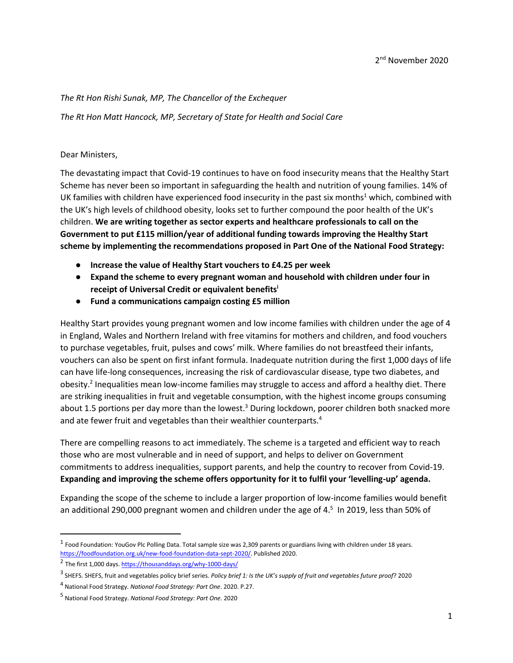### *The Rt Hon Rishi Sunak, MP, The Chancellor of the Exchequer*

*The Rt Hon Matt Hancock, MP, Secretary of State for Health and Social Care*

#### Dear Ministers,

The devastating impact that Covid-19 continues to have on food insecurity means that the Healthy Start Scheme has never been so important in safeguarding the health and nutrition of young families. 14% of UK families with children have experienced food insecurity in the past six months<sup>1</sup> which, combined with the UK's high levels of childhood obesity, looks set to further compound the poor health of the UK's children. **We are writing together as sector experts and healthcare professionals to call on the Government to put £115 million/year of additional funding towards improving the Healthy Start scheme by implementing the recommendations proposed in Part One of the National Food Strategy:**

- **Increase the value of Healthy Start vouchers to £4.25 per week**
- **Expand the scheme to every pregnant woman and household with children under four in receipt of Universal Credit or equivalent benefits<sup>i</sup>**
- **Fund a communications campaign costing £5 million**

Healthy Start provides young pregnant women and low income families with children under the age of 4 in England, Wales and Northern Ireland with free vitamins for mothers and children, and food vouchers to purchase vegetables, fruit, pulses and cows' milk. Where families do not breastfeed their infants, vouchers can also be spent on first infant formula. Inadequate nutrition during the first 1,000 days of life can have life-long consequences, increasing the risk of cardiovascular disease, type two diabetes, and obesity.<sup>2</sup> Inequalities mean low-income families may struggle to access and afford a healthy diet. There are striking inequalities in fruit and vegetable consumption, with the highest income groups consuming about 1.5 portions per day more than the lowest. $3$  During lockdown, poorer children both snacked more and ate fewer fruit and vegetables than their wealthier counterparts.<sup>4</sup>

There are compelling reasons to act immediately. The scheme is a targeted and efficient way to reach those who are most vulnerable and in need of support, and helps to deliver on Government commitments to address inequalities, support parents, and help the country to recover from Covid-19. **Expanding and improving the scheme offers opportunity for it to fulfil your 'levelling-up' agenda.**

Expanding the scope of the scheme to include a larger proportion of low-income families would benefit an additional 290,000 pregnant women and children under the age of 4.<sup>5</sup> In 2019, less than 50% of

 $^1$  Food Foundation: YouGov Plc Polling Data. Total sample size was 2,309 parents or guardians living with children under 18 years. [https://foodfoundation.org.uk/new-food-foundation-data-sept-2020/.](https://foodfoundation.org.uk/new-food-foundation-data-sept-2020/) Published 2020.

<sup>&</sup>lt;sup>2</sup> The first 1,000 days[. https://thousanddays.org/why-1000-days/](https://thousanddays.org/why-1000-days/)

<sup>3</sup> SHEFS. SHEFS, fruit and vegetables policy brief series. *Policy brief 1: Is the UK's supply of fruit and vegetables future proof*? 2020

<sup>4</sup> National Food Strategy*. National Food Strategy: Part One*. 2020. P.27.

<sup>5</sup> National Food Strategy. *National Food Strategy: Part One*. 2020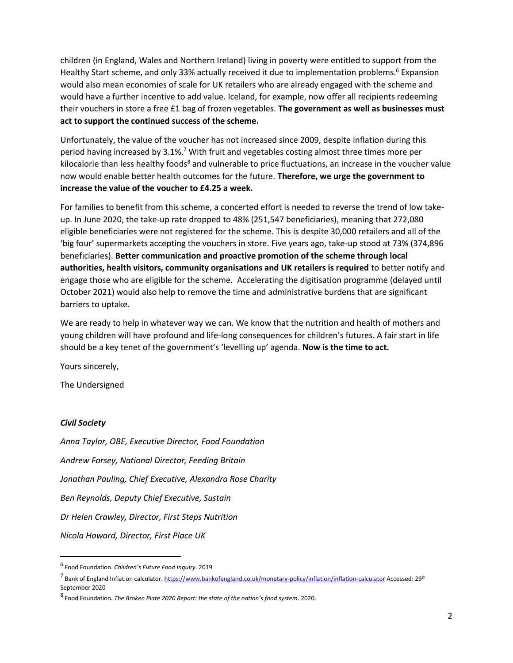children (in England, Wales and Northern Ireland) living in poverty were entitled to support from the Healthy Start scheme, and only 33% actually received it due to implementation problems.<sup>6</sup> Expansion would also mean economies of scale for UK retailers who are already engaged with the scheme and would have a further incentive to add value. Iceland, for example, now offer all recipients redeeming their vouchers in store a free £1 bag of frozen vegetables. **The government as well as businesses must act to support the continued success of the scheme.**

Unfortunately, the value of the voucher has not increased since 2009, despite inflation during this period having increased by 3.1%.<sup>7</sup> With fruit and vegetables costing almost three times more per kilocalorie than less healthy foods<sup>8</sup> and vulnerable to price fluctuations, an increase in the voucher value now would enable better health outcomes for the future. **Therefore, we urge the government to increase the value of the voucher to £4.25 a week.**

For families to benefit from this scheme, a concerted effort is needed to reverse the trend of low takeup. In June 2020, the take-up rate dropped to 48% (251,547 beneficiaries), meaning that 272,080 eligible beneficiaries were not registered for the scheme. This is despite 30,000 retailers and all of the 'big four' supermarkets accepting the vouchers in store. Five years ago, take-up stood at 73% (374,896 beneficiaries). **Better communication and proactive promotion of the scheme through local authorities, health visitors, community organisations and UK retailers is required** to better notify and engage those who are eligible for the scheme. Accelerating the digitisation programme (delayed until October 2021) would also help to remove the time and administrative burdens that are significant barriers to uptake.

We are ready to help in whatever way we can. We know that the nutrition and health of mothers and young children will have profound and life-long consequences for children's futures. A fair start in life should be a key tenet of the government's 'levelling up' agenda. **Now is the time to act.** 

Yours sincerely,

The Undersigned

## *Civil Society*

*Anna Taylor, OBE, Executive Director, Food Foundation Andrew Forsey, National Director, Feeding Britain Jonathan Pauling, Chief Executive, Alexandra Rose Charity Ben Reynolds, Deputy Chief Executive, Sustain Dr Helen Crawley, Director, First Steps Nutrition Nicola Howard, Director, First Place UK*

<sup>6</sup> Food Foundation. *Children's Future Food Inquiry*. 2019

<sup>&</sup>lt;sup>7</sup> Bank of England Inflation calculator[. https://www.bankofengland.co.uk/monetary-policy/inflation/inflation-calculator](https://www.bankofengland.co.uk/monetary-policy/inflation/inflation-calculator) Accessed: 29<sup>th</sup> September 2020

<sup>8</sup> Food Foundation. *The Broken Plate 2020 Report: the state of the nation's food system*. 2020.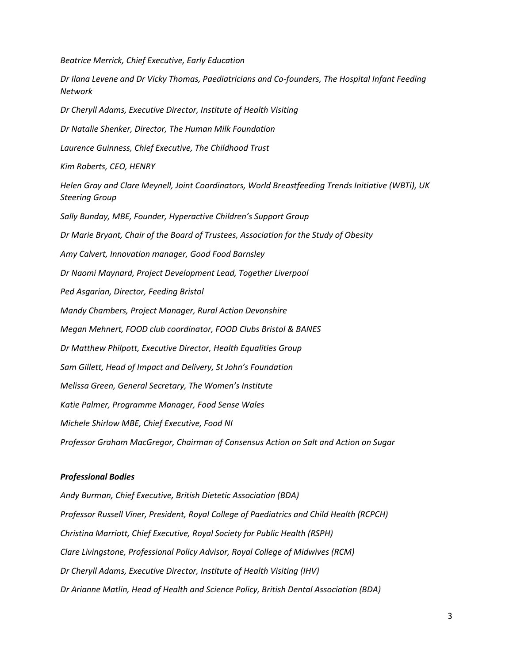*Beatrice Merrick, Chief Executive, Early Education*

*Dr Ilana Levene and Dr Vicky Thomas, Paediatricians and Co-founders, The Hospital Infant Feeding Network Dr Cheryll Adams, Executive Director, Institute of Health Visiting Dr Natalie Shenker, Director, The Human Milk Foundation Laurence Guinness, Chief Executive, The Childhood Trust Kim Roberts, CEO, HENRY Helen Gray and Clare Meynell, Joint Coordinators, World Breastfeeding Trends Initiative (WBTi), UK Steering Group Sally Bunday, MBE, Founder, Hyperactive Children's Support Group Dr Marie Bryant, Chair of the Board of Trustees, Association for the Study of Obesity Amy Calvert, Innovation manager, Good Food Barnsley Dr Naomi Maynard, Project Development Lead, Together Liverpool Ped Asgarian, Director, Feeding Bristol Mandy Chambers, Project Manager, Rural Action Devonshire Megan Mehnert, FOOD club coordinator, FOOD Clubs Bristol & BANES Dr Matthew Philpott, Executive Director, Health Equalities Group Sam Gillett, Head of Impact and Delivery, St John's Foundation Melissa Green, General Secretary, The Women's Institute Katie Palmer, Programme Manager, Food Sense Wales Michele Shirlow MBE, Chief Executive, Food NI Professor Graham MacGregor, Chairman of Consensus Action on Salt and Action on Sugar*

#### *Professional Bodies*

*Andy Burman, Chief Executive, British Dietetic Association (BDA) Professor Russell Viner, President, Royal College of Paediatrics and Child Health (RCPCH) Christina Marriott, Chief Executive, Royal Society for Public Health (RSPH) Clare Livingstone, Professional Policy Advisor, Royal College of Midwives (RCM) Dr Cheryll Adams, Executive Director, Institute of Health Visiting (IHV) Dr Arianne Matlin, Head of Health and Science Policy, British Dental Association (BDA)*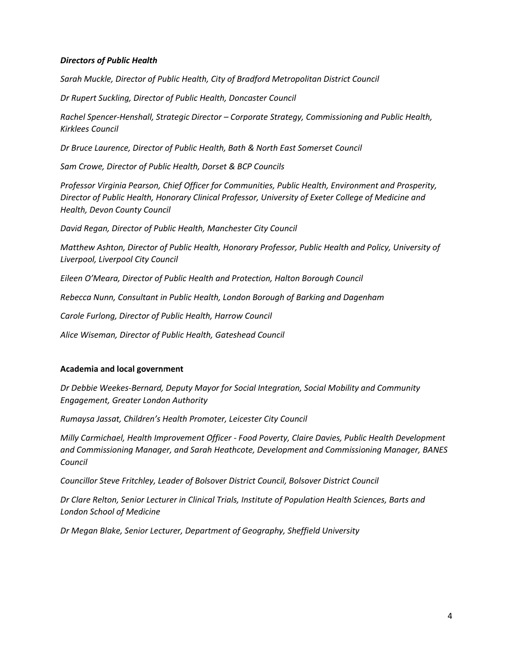## *Directors of Public Health*

*Sarah Muckle, Director of Public Health, City of Bradford Metropolitan District Council*

*Dr Rupert Suckling, Director of Public Health, Doncaster Council*

*Rachel Spencer-Henshall, Strategic Director – Corporate Strategy, Commissioning and Public Health, Kirklees Council*

*Dr Bruce Laurence, Director of Public Health, Bath & North East Somerset Council*

*Sam Crowe, Director of Public Health, Dorset & BCP Councils*

*Professor Virginia Pearson, Chief Officer for Communities, Public Health, Environment and Prosperity, Director of Public Health, Honorary Clinical Professor, University of Exeter College of Medicine and Health, Devon County Council*

*David Regan, Director of Public Health, Manchester City Council*

*Matthew Ashton, Director of Public Health, Honorary Professor, Public Health and Policy, University of Liverpool, Liverpool City Council*

*Eileen O'Meara, Director of Public Health and Protection, Halton Borough Council*

*Rebecca Nunn, Consultant in Public Health, London Borough of Barking and Dagenham*

*Carole Furlong, Director of Public Health, Harrow Council*

*Alice Wiseman, Director of Public Health, Gateshead Council*

#### **Academia and local government**

*Dr Debbie Weekes-Bernard, Deputy Mayor for Social Integration, Social Mobility and Community Engagement, Greater London Authority*

*Rumaysa Jassat, Children's Health Promoter, Leicester City Council*

*Milly Carmichael, Health Improvement Officer - Food Poverty, Claire Davies, Public Health Development and Commissioning Manager, and Sarah Heathcote, Development and Commissioning Manager, BANES Council*

*Councillor Steve Fritchley, Leader of Bolsover District Council, Bolsover District Council*

*Dr Clare Relton, Senior Lecturer in Clinical Trials, Institute of Population Health Sciences, Barts and London School of Medicine*

*Dr Megan Blake, Senior Lecturer, Department of Geography, Sheffield University*